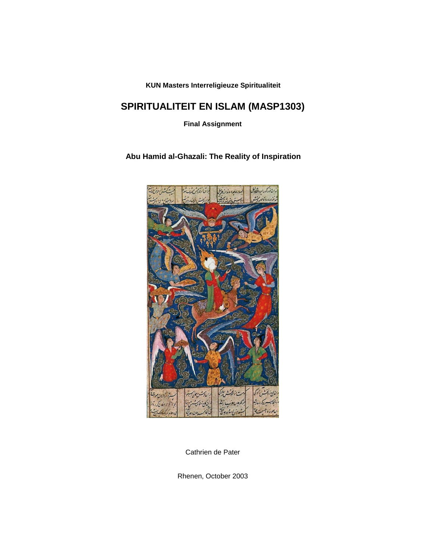**KUN Masters Interreligieuze Spiritualiteit**

# **SPIRITUALITEIT EN ISLAM (MASP1303)**

**Final Assignment**

**Abu Hamid al-Ghazali: The Reality of Inspiration**



Cathrien de Pater

Rhenen, October 2003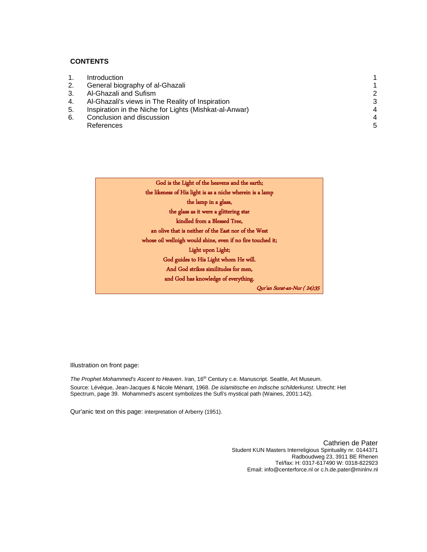### **CONTENTS**

|    | <b>Introduction</b>                                    |                       |
|----|--------------------------------------------------------|-----------------------|
| 2. | General biography of al-Ghazali                        |                       |
| 3. | Al-Ghazali and Sufism                                  | 2                     |
| 4. | Al-Ghazali's views in The Reality of Inspiration       | 3                     |
| 5. | Inspiration in the Niche for Lights (Mishkat-al-Anwar) | $\boldsymbol{\Delta}$ |
| 6. | Conclusion and discussion                              | 4                     |
|    | References                                             | 5                     |
|    |                                                        |                       |



Illustration on front page:

The Prophet Mohammed's Ascent to Heaven. Iran, 16<sup>th</sup> Century c.e. Manuscript. Seattle, Art Museum. Source: Lévèque, Jean-Jacques & Nicole Ménant, 1968. *De islamitische en Indische schilderkunst*. Utrecht: Het Spectrum, page 39. Mohammed's ascent symbolizes the Sufi's mystical path (Waines, 2001:142).

Qur'anic text on this page: interpretation of Arberry (1951).

Cathrien de Pater Student KUN Masters Interreligious Spirituality nr. 0144371 Radboudweg 23, 3911 BE Rhenen Tel/fax: H: 0317-617490 W: 0318-822923 Email: info@centerforce.nl or c.h.de.pater@minlnv.nl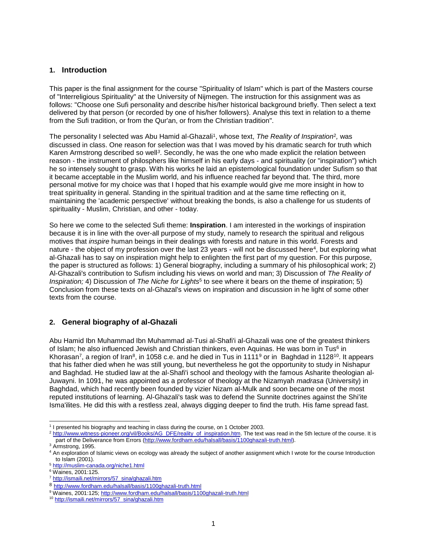### <span id="page-2-0"></span>**1. Introduction**

This paper is the final assignment for the course "Spirituality of Islam" which is part of the Masters course of "Interreligious Spirituality" at the University of Nijmegen. The instruction for this assignment was as follows: "Choose one Sufi personality and describe his/her historical background briefly. Then select a text delivered by that person (or recorded by one of his/her followers). Analyse this text in relation to a theme from the Sufi tradition, or from the Qur'an, or from the Christian tradition".

<span id="page-2-2"></span>The personality I selected was Abu Hamid al-Ghazali<sup>1</sup>, whose text, *The Reality of Inspiration*<sup>2</sup>, was discussed in class. One reason for selection was that I was moved by his dramatic search for truth which Karen Armstrong described so well<sup>3</sup>. Secondly, he was the one who made explicit the relation between reason - the instrument of philosphers like himself in his early days - and spirituality (or "inspiration") which he so intensely sought to grasp. With his works he laid an epistemological foundation under Sufism so that it became acceptable in the Muslim world, and his influence reached far beyond that. The third, more personal motive for my choice was that I hoped that his example would give me more insight in how to treat spirituality in general. Standing in the spiritual tradition and at the same time reflecting on it, maintaining the 'academic perspective' without breaking the bonds, is also a challenge for us students of spirituality - Muslim, Christian, and other - today.

So here we come to the selected Sufi theme: **Inspiration**. I am interested in the workings of inspiration because it is in line with the over-all purpose of my study, namely to research the spiritual and religous motives that *inspire* human beings in their dealings with forests and nature in this world. Forests and nature - the object of my profession over the last 23 years - will not be discussed here<sup>4</sup>, but exploring what al-Ghazali has to say on inspiration might help to enlighten the first part of my question. For this purpose, the paper is structured as follows: 1) General biography, including a summary of his philosophical work; 2) Al-Ghazali's contribution to Sufism including his views on world and man; 3) Discussion of *The Reality of Inspiration;* 4) Discussion of *The Niche for Lights*<sup>5</sup> to see where it bears on the theme of inspiration; 5) Conclusion from these texts on al-Ghazal's views on inspiration and discussion in he light of some other texts from the course.

# <span id="page-2-1"></span>**2. General biography of al-Ghazali**

Abu Hamid Ibn Muhammad Ibn Muhammad al-Tusi al-Shafi'i al-Ghazali was one of the greatest thinkers of Islam; he also influenced Jewish and Christian thinkers, even Aquinas. He was born in Tus<sup>6</sup> in Khorasan<sup>7</sup>, a region of Iran<sup>8</sup>, in 1058 c.e. and he died in Tus in 1111<sup>9</sup> or in Baghdad in 1128<sup>10</sup>. It appears that his father died when he was still young, but nevertheless he got the opportunity to study in Nishapur and Baghdad. He studied law at the al-Shafi'i school and theology with the famous Asharite theologian al-Juwayni. In 1091, he was appointed as a professor of theology at the Nizamyah *madrasa* (University) in Baghdad, which had recently been founded by vizier Nizam al-Mulk and soon became one of the most reputed institutions of learning. Al-Ghazali's task was to defend the Sunnite doctrines against the Shi'ite Isma'ilites. He did this with a restless zeal, always digging deeper to find the truth. His fame spread fast.

<sup>2</sup> [http://www.witness-pioneer.org/vil/Books/AG\\_DFE/reality\\_of\\_inspiration.htm.](http://www.witness-pioneer.org/vil/Books/AG_DFE/reality_of_inspiration.htm) The text was read in the 5th lecture of the course. It is part of the Deliverance from Errors [\(http://www.fordham.edu/halsall/basis/1100ghazali-truth.html\)](http://www.fordham.edu/halsall/basis/1100ghazali-truth.html).

 $\overline{a}$ <sup>1</sup> I presented his biography and teaching in class during the course, on 1 October 2003.

<sup>&</sup>lt;sup>3</sup> Armstrong, 1995.

<sup>&</sup>lt;sup>4</sup> An exploration of Islamic views on ecology was already the subject of another assignment which I wrote for the course Introduction to Islam (2001).

<sup>5</sup> <http://muslim-canada.org/niche1.html>

<sup>6</sup> Waines, 2001:125.

<sup>7</sup> http://ismaili.net/mirrors/57\_sina/ghazali.htm

<sup>8</sup> <http://www.fordham.edu/halsall/basis/1100ghazali-truth.html>

<sup>9</sup> Waines, 2001:125;<http://www.fordham.edu/halsall/basis/1100ghazali-truth.html>

<sup>10</sup> http://ismaili.net/mirrors/57\_sina/ghazali.htm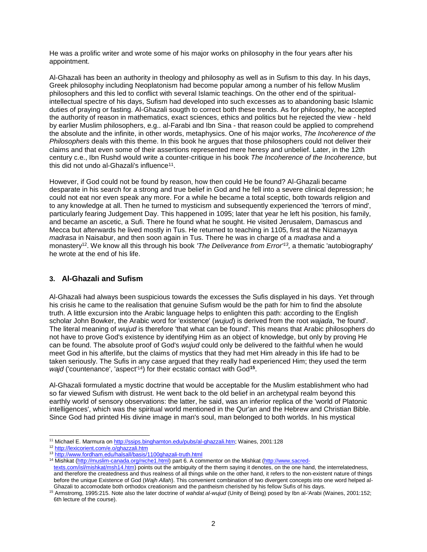He was a prolific writer and wrote some of his major works on philosophy in the four years after his appointment.

Al-Ghazali has been an authority in theology and philosophy as well as in Sufism to this day. In his days, Greek philosophy including Neoplatonism had become popular among a number of his fellow Muslim philosophers and this led to conflict with several Islamic teachings. On the other end of the spiritualintellectual spectre of his days, Sufism had developed into such excesses as to abandoning basic Islamic duties of praying or fasting. Al-Ghazali sougth to correct both these trends. As for philosophy, he accepted the authority of reason in mathematics, exact sciences, ethics and politics but he rejected the view - held by earlier Muslim philosophers, e.g.. al-Farabi and Ibn Sina - that reason could be applied to comprehend the absolute and the infinite, in other words, metaphysics. One of his major works, *The Incoherence of the Philosophers* deals with this theme. In this book he argues that those philosophers could not deliver their claims and that even some of their assertions represented mere heresy and unbelief. Later, in the 12th century c.e., Ibn Rushd would write a counter-critique in his book *The Incoherence of the Incoherence*, but this did not undo al-Ghazali's influence<sup>11</sup>.

However, if God could not be found by reason, how then could He be found? Al-Ghazali became desparate in his search for a strong and true belief in God and he fell into a severe clinical depression; he could not eat nor even speak any more. For a while he became a total sceptic, both towards religion and to any knowledge at all. Then he turned to mysticism and subsequently experienced the 'terrors of mind', particularly fearing Judgement Day. This happened in 1095; later that year he left his position, his family, and became an ascetic, a Sufi. There he found what he sought. He visited Jerusalem, Damascus and Mecca but afterwards he lived mostly in Tus. He returned to teaching in 1105, first at the Nizamayya *madrasa* in Naisabur, and then soon again in Tus. There he was in charge of a *madrasa* and a monastery<sup>12</sup>. We know all this through his book 'The Deliverance from Error<sup>113</sup>, a thematic 'autobiography' he wrote at the end of his life.

# <span id="page-3-0"></span>**3. Al-Ghazali and Sufism**

Al-Ghazali had always been suspicious towards the excesses the Sufis displayed in his days. Yet through his crisis he came to the realisation that genuine Sufism would be the path for him to find the absolute truth. A little excursion into the Arabic language helps to enlighten this path: according to the English scholar John Bowker, the Arabic word for 'existence' (*wujud*) is derived from the root *wajada*, 'he found'. The literal meaning of *wujud* is therefore 'that what can be found'. This means that Arabic philosophers do not have to prove God's existence by identifying Him as an object of knowledge, but only by proving He can be found. The absolute proof of God's *wujud* could only be delivered to the faithful when he would meet God in his afterlife, but the claims of mystics that they had met Him already in this life had to be taken seriously. The Sufis in any case argued that they really had experienced Him; they used the term wajd ('countenance', 'aspect<sup>'14</sup>) for their ecstatic contact with God<sup>15</sup>.

Al-Ghazali formulated a mystic doctrine that would be acceptable for the Muslim establishment who had so far viewed Sufism with distrust. He went back to the old belief in an archetypal realm beyond this earthly world of sensory observations: the latter, he said, was an inferior replica of the 'world of Platonic intelligences', which was the spiritual world mentioned in the Qur'an and the Hebrew and Christian Bible. Since God had printed His divine image in man's soul, man belonged to both worlds. In his mystical

 $\overline{a}$ <sup>11</sup> Michael E. Marmura o[n http://ssips.binghamton.edu/pubs/al-ghazzali.htm;](http://ssips.binghamton.edu/pubs/al-ghazzali.htm) Waines, 2001:128

<sup>12</sup> <http://lexicorient.com/e.o/ghazzali.htm>

<sup>13</sup> <http://www.fordham.edu/halsall/basis/1100ghazali-truth.html>

<sup>14</sup> Mishkat [\(http://muslim-canada.org/niche1.html\)](http://muslim-canada.org/niche1.html) part 6. A commentor on the Mishkat [\(http://www.sacred-](http://www.sacred-texts.com/isl/mishkat/msh14.htm)

[texts.com/isl/mishkat/msh14.htm\)](http://www.sacred-texts.com/isl/mishkat/msh14.htm) points out the ambiguity of the therm saying it denotes, on the one hand, the interrelatedness, and therefore the createdness and thus realness of all things while on the other hand, it refers to the non-existent nature of things before the unique Existence of God (*Wajh Allah*). This convenient combination of two divergent concepts into one word helped al-Ghazali to accomodate both orthodox creationism and the pantheism cherished by his fellow Sufis of his days.

<sup>15</sup> Armstromg, 1995:215. Note also the later doctrine of *wahdat al-wujud* (Unity of Being) posed by Ibn al-'Arabi (Waines, 2001:152; 6th lecture of the course).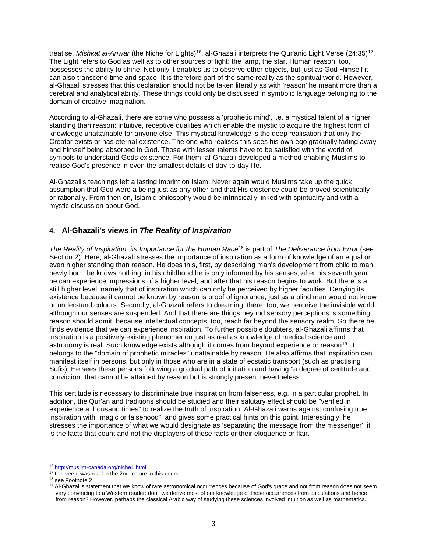treatise, *Mishkat al-Anwar* (the Niche for Lights)<sup>16</sup>, al-Ghazali interprets the Qur'anic Light Verse (24:35)<sup>17</sup>. The Light refers to God as well as to other sources of light: the lamp, the star. Human reason, too, possesses the ability to shine. Not only it enables us to observe other objects, but just as God Himself it can also transcend time and space. It is therefore part of the same reality as the spiritual world. However, al-Ghazali stresses that this declaration should not be taken literally as with 'reason' he meant more than a cerebral and analytical ability. These things could only be discussed in symbolic language belonging to the domain of creative imagination.

According to al-Ghazali, there are some who possess a 'prophetic mind', i.e. a mystical talent of a higher standing than reason: intuitive, receptive qualities which enable the mystic to acquire the highest form of knowledge unattainable for anyone else. This mystical knowledge is the deep realisation that only the Creator exists or has eternal existence. The one who realises this sees his own ego gradually fading away and himself being absorbed in God. Those with lesser talents have to be satisfied with the world of symbols to understand Gods existence. For them, al-Ghazali developed a method enabling Muslims to realise God's presence in even the smallest details of day-to-day life.

Al-Ghazali's teachings left a lasting imprint on Islam. Never again would Muslims take up the quick assumption that God were a being just as any other and that His existence could be proved scientifically or rationally. From then on, Islamic philosophy would be intrinsically linked with spirituality and with a mystic discussion about God.

### <span id="page-4-0"></span>**4. Al-Ghazali's views in** *The Reality of Inspiration*

*The Reality of Inspiration, its Importance for the Human Race*<sup>18</sup> is part of *The Deliverance from Error* (see Section 2). Here, al-Ghazali stresses the importance of inspiration as a form of knowledge of an equal or even higher standing than reason. He does this, first, by describing man's development from child to man: newly born, he knows nothing; in his childhood he is only informed by his senses; after his seventh year he can experience impressions of a higher level, and after that his reason begins to work. But there is a still higher level, namely that of inspiration which can only be perceived by higher faculties. Denying its existence because it cannot be known by reason is proof of ignorance, just as a blind man would not know or understand colours. Secondly, al-Ghazali refers to dreaming: there, too, we perceive the invisible world although our senses are suspended. And that there are things beyond sensory perceptions is something reason should admit, because intellectual concepts, too, reach far beyond the sensory realm. So there he finds evidence that we can experience inspiration. To further possible doubters, al-Ghazali affirms that inspiration is a positively existing phenomenon just as real as knowledge of medical science and astronomy is real. Such knowledge exists although it comes from beyond experience or reason<sup>19</sup>. It belongs to the "domain of prophetic miracles" unattainable by reason. He also affirms that inspiration can manifest itself in persons, but only in those who are in a state of ecstatic transport (such as practising Sufis). He sees these persons following a gradual path of initiation and having "a degree of certitude and conviction" that cannot be attained by reason but is strongly present nevertheless.

This certitude is necessary to discriminate true inspiration from falseness, e.g. in a particular prophet. In addition, the Qur'an and traditions should be studied and their salutary effect should be "verified in experience a thousand times" to realize the truth of inspiration. Al-Ghazali warns against confusing true inspiration with "magic or falsehood", and gives some practical hints on this point. Interestingly, he stresses the importance of what we would designate as 'separating the message from the messenger': it is the facts that count and not the displayers of those facts or their eloquence or flair.

l <sup>16</sup> <http://muslim-canada.org/niche1.html>

<sup>&</sup>lt;sup>17</sup> this verse was read in the 2nd lecture in this course.

<sup>&</sup>lt;sup>18</sup> see Footnot[e 2](#page-2-2)

<sup>&</sup>lt;sup>19</sup> Al-Ghazali's statement that we know of rare astronomical occurrences because of God's grace and not from reason does not seem very convincing to a Western reader: don't we derive most of our knowledge of those occurrences from calculations and hence, from reason? However, perhaps the classical Arabic way of studying these sciences involved intuition as well as mathematics.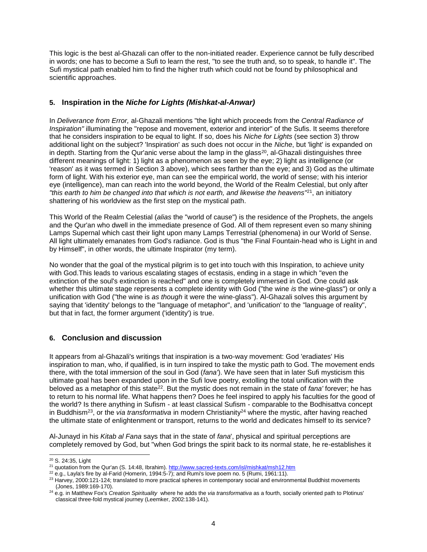This logic is the best al-Ghazali can offer to the non-initiated reader. Experience cannot be fully described in words; one has to become a Sufi to learn the rest, "to see the truth and, so to speak, to handle it". The Sufi mystical path enabled him to find the higher truth which could not be found by philosophical and scientific approaches.

### <span id="page-5-0"></span>**5. Inspiration in the** *Niche for Lights (Mishkat-al-Anwar)*

In *Deliverance from Error,* al-Ghazali mentions "the light which proceeds from the *Central Radiance of Inspiration"* illuminating the "repose and movement, exterior and interior" of the Sufis. It seems therefore that he considers inspiration to be equal to light. If so, does his *Niche for Lights* (see section 3) throw additional light on the subject? 'Inspiration' as such does not occur in the *Niche*, but 'light' is expanded on in depth. Starting from the Qur'anic verse about the lamp in the glass<sup>20</sup>, al-Ghazali distinguishes three different meanings of light: 1) light as a phenomenon as seen by the eye; 2) light as intelligence (or 'reason' as it was termed in Section 3 above), which sees farther than the eye; and 3) God as the ultimate form of light. With his exterior eye, man can see the empirical world, the world of sense; with his interior eye (intelligence), man can reach into the world beyond, the World of the Realm Celestial, but only after *"this earth to him be changed into that which is not earth, and likewise the heavens"*<sup>21</sup>, an initiatory shattering of his worldview as the first step on the mystical path.

This World of the Realm Celestial (*alias* the "world of cause") is the residence of the Prophets, the angels and the Qur'an who dwell in the immediate presence of God. All of them represent even so many shining Lamps Supernal which cast their light upon many Lamps Terrestrial (phenomena) in our World of Sense. All light ultimately emanates from God's radiance. God is thus "the Final Fountain-head who is Light in and by Himself", in other words, the ultimate Inspirator (my term).

No wonder that the goal of the mystical pilgrim is to get into touch with this Inspiration, to achieve unity with God.This leads to various escalating stages of ecstasis, ending in a stage in which "even the extinction of the soul's extinction is reached" and one is completely immersed in God. One could ask whether this ultimate stage represents a complete identity with God ("the wine *is* the wine-glass") or only a unification with God ("the wine is *as though* it were the wine-glass"). Al-Ghazali solves this argument by saying that 'identity' belongs to the "language of metaphor", and 'unification' to the "language of reality", but that in fact, the former argument ('identity') is true.

# <span id="page-5-1"></span>**6. Conclusion and discussion**

It appears from al-Ghazali's writings that inspiration is a two-way movement: God 'eradiates' His inspiration to man, who, if qualified, is in turn inspired to take the mystic path to God. The movement ends there, with the total immersion of the soul in God (*fana'*). We have seen that in later Sufi mysticism this ultimate goal has been expanded upon in the Sufi love poetry, extolling the total unification with the beloved as a metaphor of this state<sup>22</sup>. But the mystic does not remain in the state of *fana'* forever; he has to return to his normal life. What happens then? Does he feel inspired to apply his faculties for the good of the world? Is there anything in Sufism - at least classical Sufism - comparable to the Bodhisattva concept in Buddhism<sup>23</sup>, or the *via transformativa* in modern Christianity <sup>24</sup> where the mystic, after having reached the ultimate state of enlightenment or transport, returns to the world and dedicates himself to its service?

Al-Junayd in his *Kitab al Fana* says that in the state of *fana*', physical and spiritual perceptions are completely removed by God, but "when God brings the spirit back to its normal state, he re-establishes it

 $\overline{a}$ 

<sup>20</sup> S. 24:35, Light

<sup>&</sup>lt;sup>21</sup> quotation from the Qur'an (S. 14:48, Ibrahim).<http://www.sacred-texts.com/isl/mishkat/msh12.htm>

<sup>&</sup>lt;sup>22</sup> e.g., Layla's fire by al-Farid (Homerin, 1994:5-7); and Rumi's love poem no. 5 (Rumi, 1961:11).

<sup>&</sup>lt;sup>23</sup> Harvey, 2000:121-124; translated to more practical spheres in contemporary social and environmental Buddhist movements (Jones, 1989:169-170).

<sup>24</sup> e.g. in Matthew Fox's *Creation Spirituality* where he adds the *via transformativa* as a fourth, socially oriented path to Plotinus' classical three-fold mystical journey (Leemker, 2002:138-141).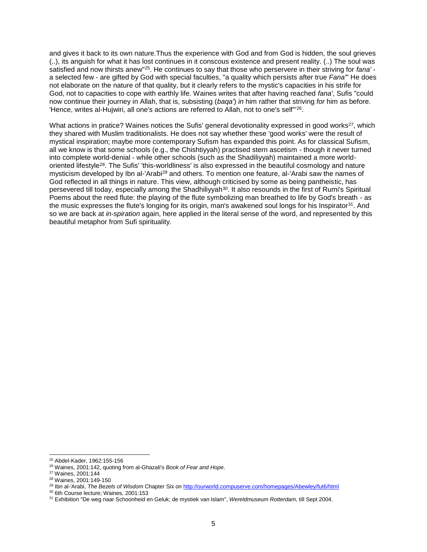and gives it back to its own nature.Thus the experience with God and from God is hidden, the soul grieves (..), its anguish for what it has lost continues in it conscous existence and present reality. (..) The soul was satisfied and now thirsts anew"<sup>25</sup>. He continues to say that those who perservere in their striving for *fana'* a selected few - are gifted by God with special faculties, "a quality which persists after true *Fana'*" He does not elaborate on the nature of that quality, but it clearly refers to the mystic's capacities in his strife for God, not to capacities to cope with earthly life. Waines writes that after having reached *fana'*, Sufis "could now continue their journey in Allah, that is, subsisting (*baqa'*) *in* him rather that striving *for* him as before. 'Hence, writes al-Hujwiri, all one's actions are referred to Allah, not to one's self'"<sup>26</sup> .

What actions in pratice? Waines notices the Sufis' general devotionality expressed in good works<sup>27</sup>, which they shared with Muslim traditionalists. He does not say whether these 'good works' were the result of mystical inspiration; maybe more contemporary Sufism has expanded this point. As for classical Sufism, all we know is that some schools (e.g., the Chishtiyyah) practised stern ascetism - though it never turned into complete world-denial - while other schools (such as the Shadiliyyah) maintained a more worldoriented lifestyle<sup>28</sup>. The Sufis' 'this-worldliness' is also expressed in the beautiful cosmology and nature mysticism developed by Ibn al-'Arabi<sup>29</sup> and others. To mention one feature, al-'Arabi saw the names of God reflected in all things in nature. This view, although criticised by some as being pantheistic, has persevered till today, especially among the Shadhiliyyah<sup>30</sup>. It also resounds in the first of Rumi's Spiritual Poems about the reed flute: the playing of the flute symbolizing man breathed to life by God's breath - as the music expresses the flute's longing for its origin, man's awakened soul longs for his Inspirator<sup>31</sup>. And so we are back at *in-spiration* again, here applied in the literal sense of the word, and represented by this beautiful metaphor from Sufi spirituality.

 $\overline{a}$ 

<sup>25</sup> Abdel-Kader, 1962:155-156

<sup>26</sup> Waines, 2001:142, quoting from al-Ghazali's *Book of Fear and Hope*.

<sup>27</sup> Waines, 2001:144

<sup>28</sup> Waines, 2001:149-150

<sup>29</sup> Ibn al-'Arabi, *The Bezels of Wisdom* Chapter Six on<http://ourworld.compuserve.com/homepages/Abewley/fut6/html>

<sup>30</sup> 6th Course lecture; Waines, 2001:153

<sup>31</sup> Exhibition "De weg naar Schoonheid en Geluk; de mystiek van Islam", *Wereldmuseum Rotterdam*, till Sept 2004.